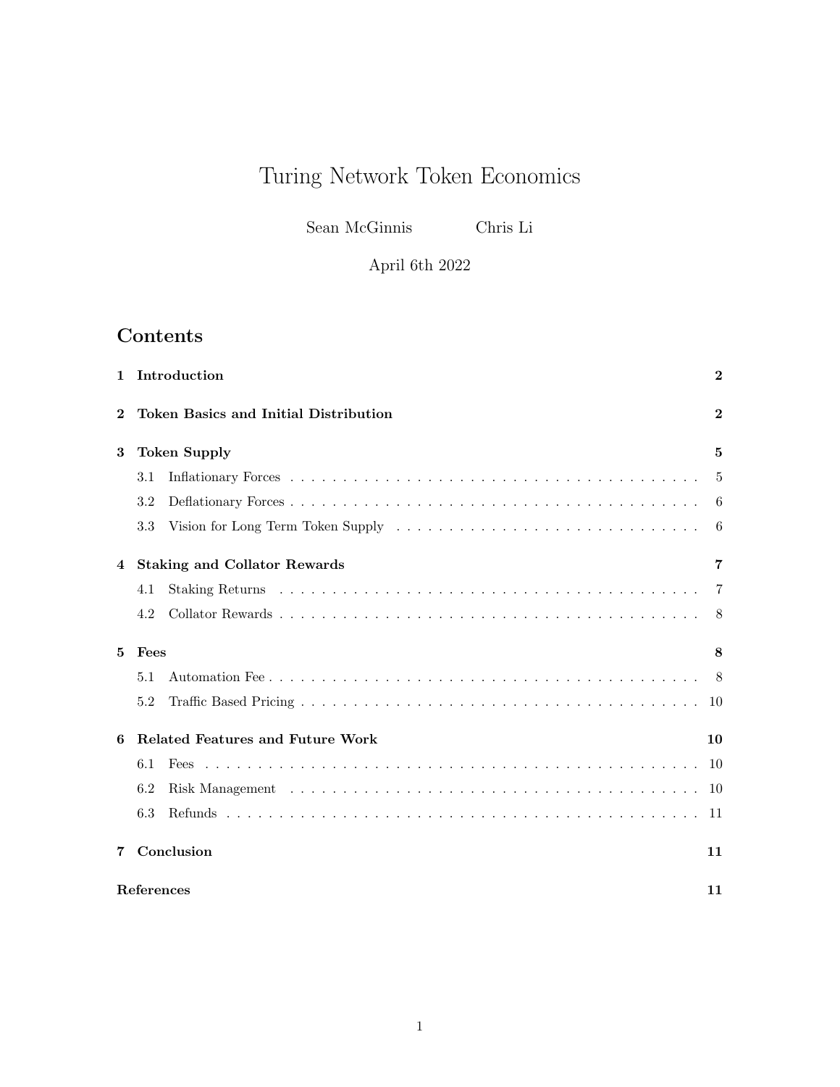# Turing Network Token Economics

Sean McGinnis Chris Li

April 6th 2022

## Contents

| 1        | Introduction                                  |  | $\bf{2}$ |  |  |  |
|----------|-----------------------------------------------|--|----------|--|--|--|
| $\bf{2}$ | <b>Token Basics and Initial Distribution</b>  |  |          |  |  |  |
| 3        | <b>Token Supply</b><br>5                      |  |          |  |  |  |
|          | 3.1                                           |  | 5        |  |  |  |
|          | 3.2                                           |  | 6        |  |  |  |
|          | $3.3\,$                                       |  | 6        |  |  |  |
| 4        | <b>Staking and Collator Rewards</b>           |  | 7        |  |  |  |
|          | 4.1                                           |  | 7        |  |  |  |
|          | 4.2                                           |  | 8        |  |  |  |
| 5        | Fees<br>8                                     |  |          |  |  |  |
|          | 5.1                                           |  | 8        |  |  |  |
|          | 5.2                                           |  | 10       |  |  |  |
| 6        | <b>Related Features and Future Work</b><br>10 |  |          |  |  |  |
|          | 6.1                                           |  | -10      |  |  |  |
|          | 6.2                                           |  | 10       |  |  |  |
|          | 6.3                                           |  | 11       |  |  |  |
| 7        | Conclusion<br>11                              |  |          |  |  |  |
|          | References<br>11                              |  |          |  |  |  |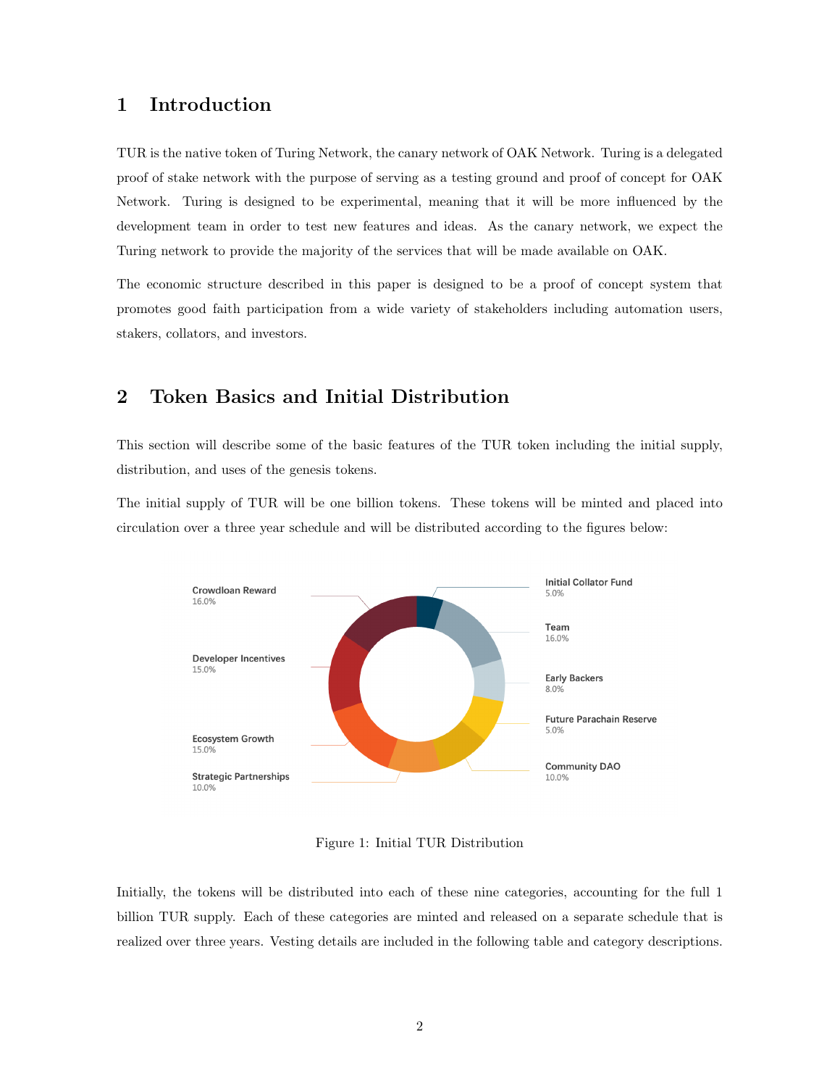## <span id="page-1-0"></span>1 Introduction

TUR is the native token of Turing Network, the canary network of OAK Network. Turing is a delegated proof of stake network with the purpose of serving as a testing ground and proof of concept for OAK Network. Turing is designed to be experimental, meaning that it will be more influenced by the development team in order to test new features and ideas. As the canary network, we expect the Turing network to provide the majority of the services that will be made available on OAK.

The economic structure described in this paper is designed to be a proof of concept system that promotes good faith participation from a wide variety of stakeholders including automation users, stakers, collators, and investors.

## <span id="page-1-1"></span>2 Token Basics and Initial Distribution

This section will describe some of the basic features of the TUR token including the initial supply, distribution, and uses of the genesis tokens.

The initial supply of TUR will be one billion tokens. These tokens will be minted and placed into circulation over a three year schedule and will be distributed according to the figures below:



Figure 1: Initial TUR Distribution

Initially, the tokens will be distributed into each of these nine categories, accounting for the full 1 billion TUR supply. Each of these categories are minted and released on a separate schedule that is realized over three years. Vesting details are included in the following table and category descriptions.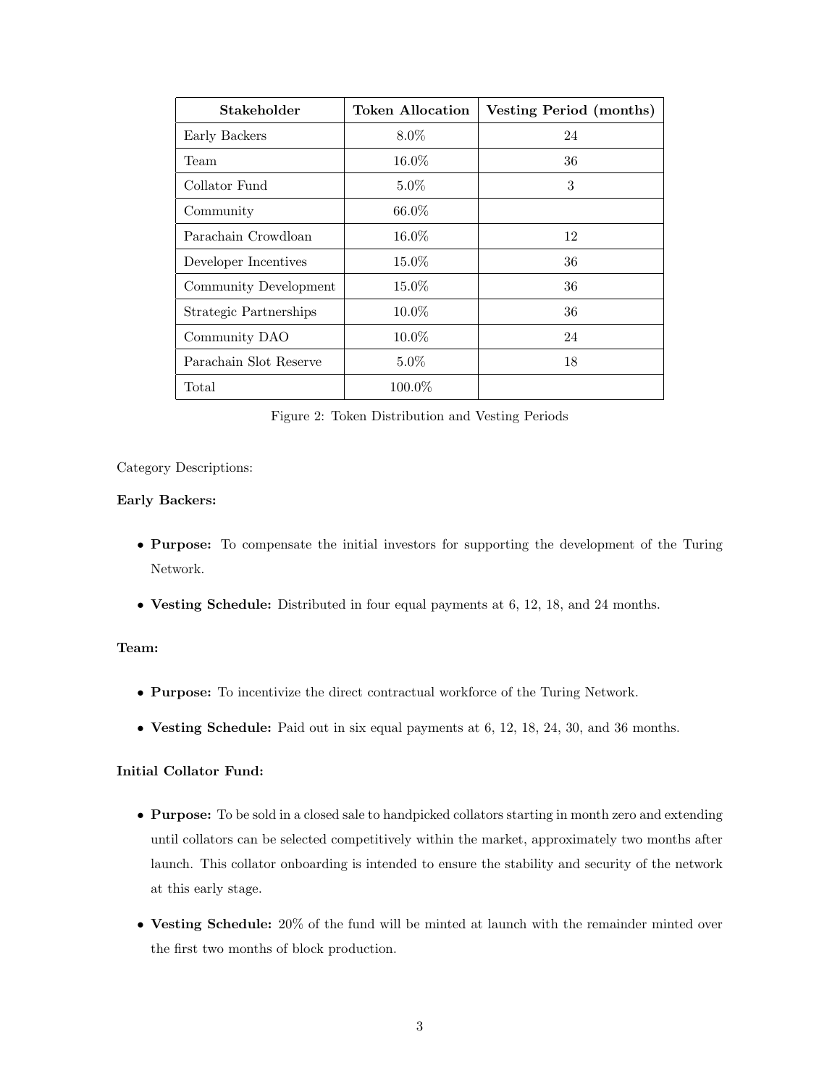| Stakeholder            | <b>Token Allocation</b> | Vesting Period (months) |
|------------------------|-------------------------|-------------------------|
| Early Backers          | $8.0\%$                 | 24                      |
| Team                   | $16.0\%$                | 36                      |
| Collator Fund          | $5.0\%$                 | 3                       |
| Community              | $66.0\%$                |                         |
| Parachain Crowdloan    | $16.0\%$                | 12                      |
| Developer Incentives   | $15.0\%$                | 36                      |
| Community Development  | $15.0\%$                | 36                      |
| Strategic Partnerships | $10.0\%$                | 36                      |
| Community DAO          | 10.0%                   | 24                      |
| Parachain Slot Reserve | $5.0\%$                 | 18                      |
| Total                  | $100.0\%$               |                         |

Figure 2: Token Distribution and Vesting Periods

#### Category Descriptions:

#### Early Backers:

- Purpose: To compensate the initial investors for supporting the development of the Turing Network.
- Vesting Schedule: Distributed in four equal payments at 6, 12, 18, and 24 months.

#### Team:

- Purpose: To incentivize the direct contractual workforce of the Turing Network.
- Vesting Schedule: Paid out in six equal payments at 6, 12, 18, 24, 30, and 36 months.

#### Initial Collator Fund:

- Purpose: To be sold in a closed sale to handpicked collators starting in month zero and extending until collators can be selected competitively within the market, approximately two months after launch. This collator onboarding is intended to ensure the stability and security of the network at this early stage.
- Vesting Schedule: 20% of the fund will be minted at launch with the remainder minted over the first two months of block production.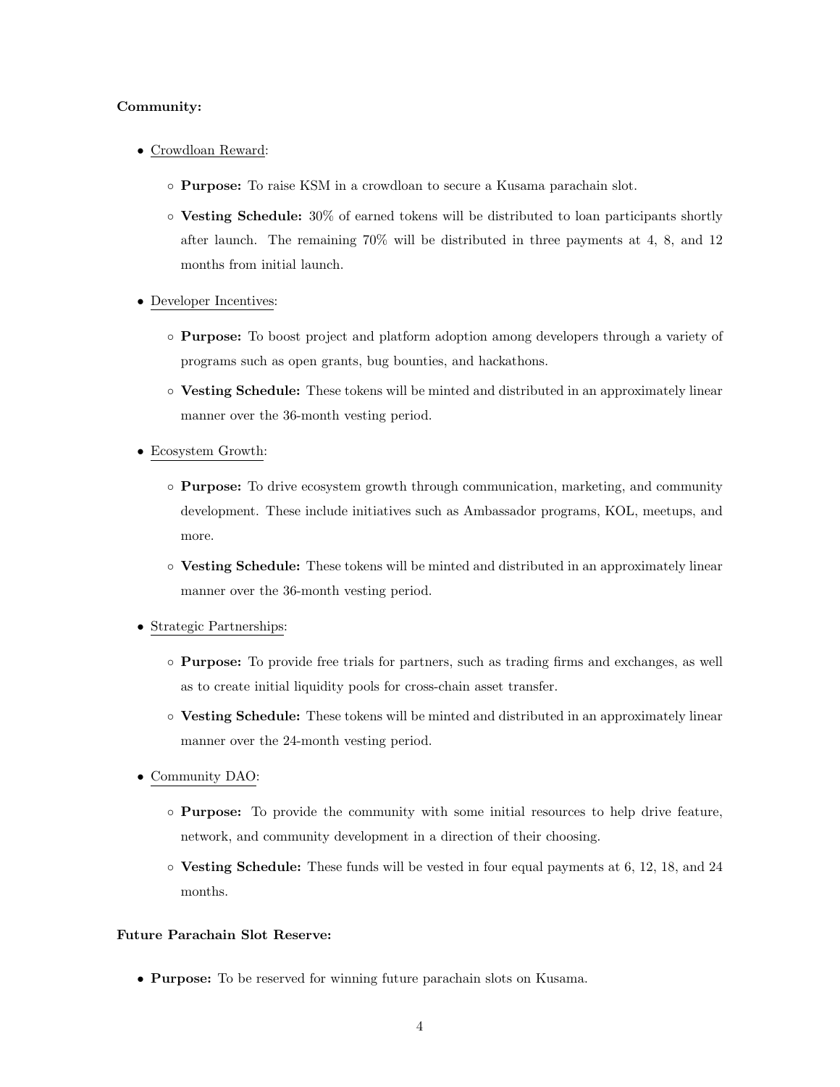#### Community:

- Crowdloan Reward:
	- Purpose: To raise KSM in a crowdloan to secure a Kusama parachain slot.
	- Vesting Schedule: 30% of earned tokens will be distributed to loan participants shortly after launch. The remaining 70% will be distributed in three payments at 4, 8, and 12 months from initial launch.
- Developer Incentives:
	- Purpose: To boost project and platform adoption among developers through a variety of programs such as open grants, bug bounties, and hackathons.
	- Vesting Schedule: These tokens will be minted and distributed in an approximately linear manner over the 36-month vesting period.
- Ecosystem Growth:
	- Purpose: To drive ecosystem growth through communication, marketing, and community development. These include initiatives such as Ambassador programs, KOL, meetups, and more.
	- Vesting Schedule: These tokens will be minted and distributed in an approximately linear manner over the 36-month vesting period.

#### • Strategic Partnerships:

- Purpose: To provide free trials for partners, such as trading firms and exchanges, as well as to create initial liquidity pools for cross-chain asset transfer.
- Vesting Schedule: These tokens will be minted and distributed in an approximately linear manner over the 24-month vesting period.
- Community DAO:
	- Purpose: To provide the community with some initial resources to help drive feature, network, and community development in a direction of their choosing.
	- Vesting Schedule: These funds will be vested in four equal payments at 6, 12, 18, and 24 months.

#### Future Parachain Slot Reserve:

• Purpose: To be reserved for winning future parachain slots on Kusama.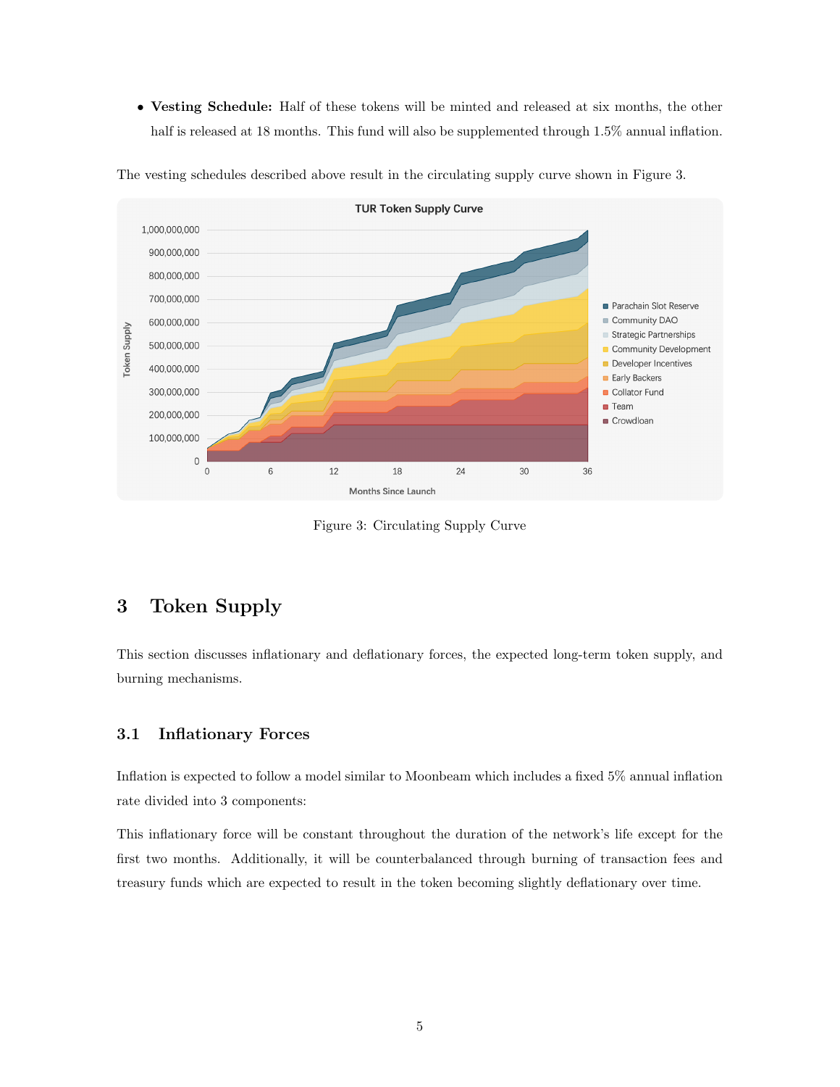• Vesting Schedule: Half of these tokens will be minted and released at six months, the other half is released at 18 months. This fund will also be supplemented through 1.5% annual inflation.



The vesting schedules described above result in the circulating supply curve shown in Figure [3.](#page-4-2)

<span id="page-4-2"></span>Figure 3: Circulating Supply Curve

## <span id="page-4-0"></span>3 Token Supply

This section discusses inflationary and deflationary forces, the expected long-term token supply, and burning mechanisms.

#### <span id="page-4-1"></span>3.1 Inflationary Forces

Inflation is expected to follow a model similar to Moonbeam which includes a fixed 5% annual inflation rate divided into 3 components:

This inflationary force will be constant throughout the duration of the network's life except for the first two months. Additionally, it will be counterbalanced through burning of transaction fees and treasury funds which are expected to result in the token becoming slightly deflationary over time.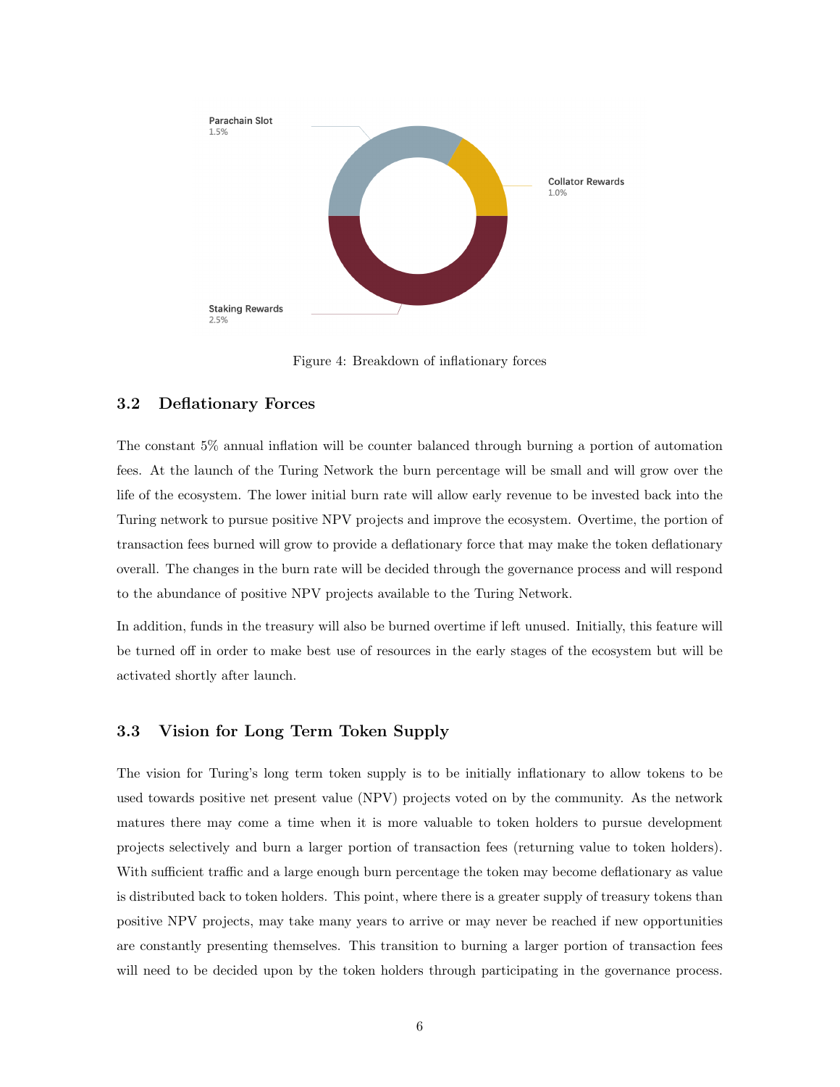

<span id="page-5-2"></span>Figure 4: Breakdown of inflationary forces

#### <span id="page-5-0"></span>3.2 Deflationary Forces

The constant 5% annual inflation will be counter balanced through burning a portion of automation fees. At the launch of the Turing Network the burn percentage will be small and will grow over the life of the ecosystem. The lower initial burn rate will allow early revenue to be invested back into the Turing network to pursue positive NPV projects and improve the ecosystem. Overtime, the portion of transaction fees burned will grow to provide a deflationary force that may make the token deflationary overall. The changes in the burn rate will be decided through the governance process and will respond to the abundance of positive NPV projects available to the Turing Network.

In addition, funds in the treasury will also be burned overtime if left unused. Initially, this feature will be turned off in order to make best use of resources in the early stages of the ecosystem but will be activated shortly after launch.

#### <span id="page-5-1"></span>3.3 Vision for Long Term Token Supply

The vision for Turing's long term token supply is to be initially inflationary to allow tokens to be used towards positive net present value (NPV) projects voted on by the community. As the network matures there may come a time when it is more valuable to token holders to pursue development projects selectively and burn a larger portion of transaction fees (returning value to token holders). With sufficient traffic and a large enough burn percentage the token may become deflationary as value is distributed back to token holders. This point, where there is a greater supply of treasury tokens than positive NPV projects, may take many years to arrive or may never be reached if new opportunities are constantly presenting themselves. This transition to burning a larger portion of transaction fees will need to be decided upon by the token holders through participating in the governance process.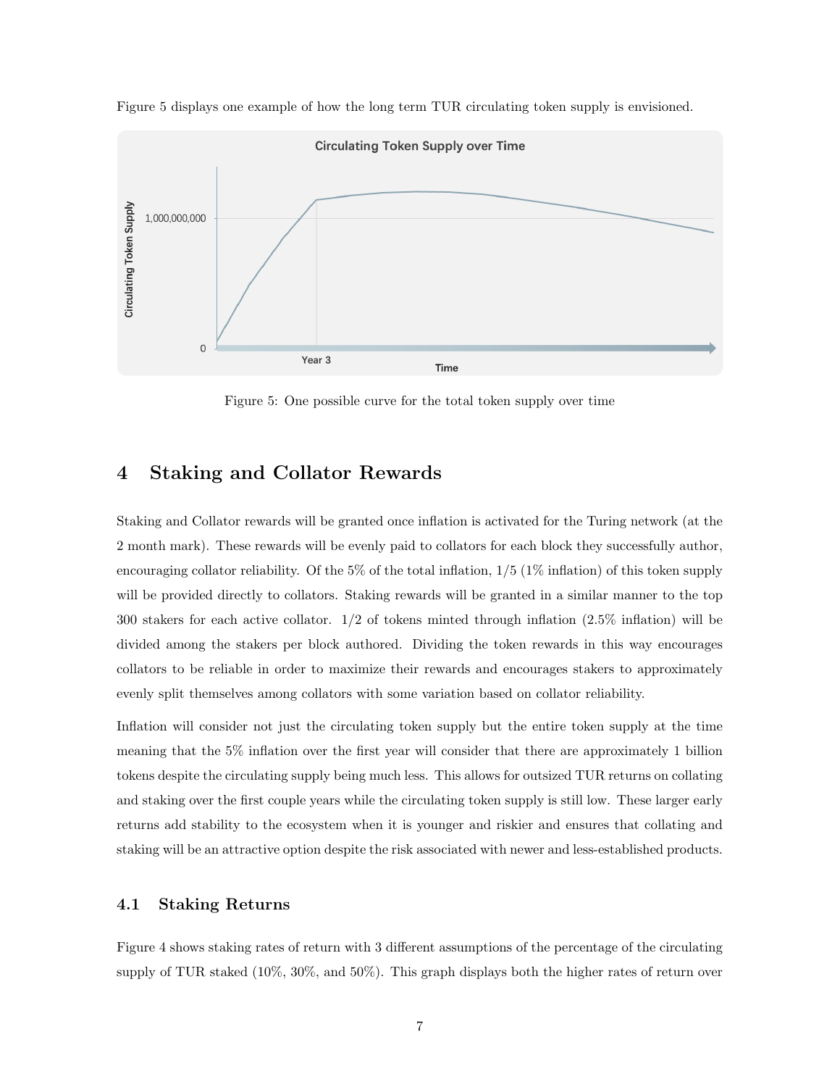

Figure [5](#page-6-2) displays one example of how the long term TUR circulating token supply is envisioned.

<span id="page-6-2"></span>Figure 5: One possible curve for the total token supply over time

## <span id="page-6-0"></span>4 Staking and Collator Rewards

Staking and Collator rewards will be granted once inflation is activated for the Turing network (at the 2 month mark). These rewards will be evenly paid to collators for each block they successfully author, encouraging collator reliability. Of the 5% of the total inflation,  $1/5$  (1% inflation) of this token supply will be provided directly to collators. Staking rewards will be granted in a similar manner to the top 300 stakers for each active collator. 1/2 of tokens minted through inflation (2.5% inflation) will be divided among the stakers per block authored. Dividing the token rewards in this way encourages collators to be reliable in order to maximize their rewards and encourages stakers to approximately evenly split themselves among collators with some variation based on collator reliability.

Inflation will consider not just the circulating token supply but the entire token supply at the time meaning that the 5% inflation over the first year will consider that there are approximately 1 billion tokens despite the circulating supply being much less. This allows for outsized TUR returns on collating and staking over the first couple years while the circulating token supply is still low. These larger early returns add stability to the ecosystem when it is younger and riskier and ensures that collating and staking will be an attractive option despite the risk associated with newer and less-established products.

#### <span id="page-6-1"></span>4.1 Staking Returns

Figure [4](#page-5-2) shows staking rates of return with 3 different assumptions of the percentage of the circulating supply of TUR staked (10%, 30%, and 50%). This graph displays both the higher rates of return over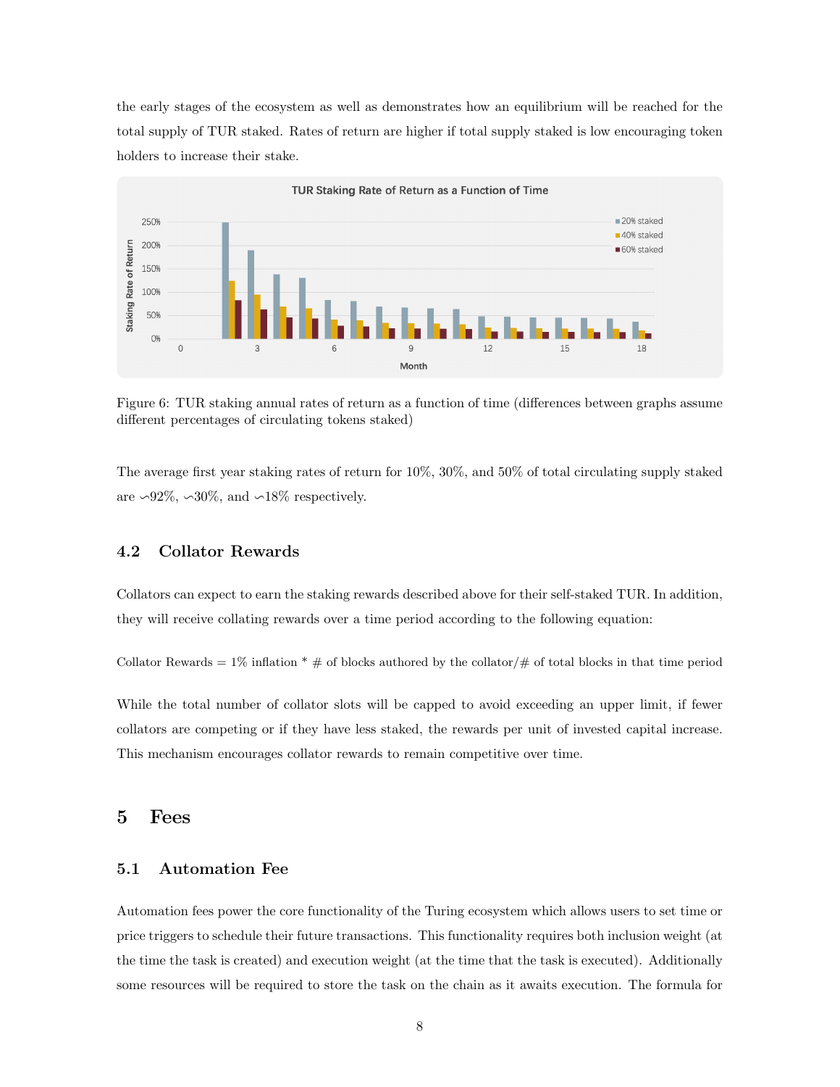the early stages of the ecosystem as well as demonstrates how an equilibrium will be reached for the total supply of TUR staked. Rates of return are higher if total supply staked is low encouraging token holders to increase their stake.



Figure 6: TUR staking annual rates of return as a function of time (differences between graphs assume different percentages of circulating tokens staked)

The average first year staking rates of return for 10%, 30%, and 50% of total circulating supply staked are ∽92%, ∽30%, and ∽18% respectively.

#### <span id="page-7-0"></span>4.2 Collator Rewards

Collators can expect to earn the staking rewards described above for their self-staked TUR. In addition, they will receive collating rewards over a time period according to the following equation:

Collator Rewards = 1% inflation  $* \#$  of blocks authored by the collator/ $\#$  of total blocks in that time period

While the total number of collator slots will be capped to avoid exceeding an upper limit, if fewer collators are competing or if they have less staked, the rewards per unit of invested capital increase. This mechanism encourages collator rewards to remain competitive over time.

#### <span id="page-7-1"></span>5 Fees

#### <span id="page-7-2"></span>5.1 Automation Fee

Automation fees power the core functionality of the Turing ecosystem which allows users to set time or price triggers to schedule their future transactions. This functionality requires both inclusion weight (at the time the task is created) and execution weight (at the time that the task is executed). Additionally some resources will be required to store the task on the chain as it awaits execution. The formula for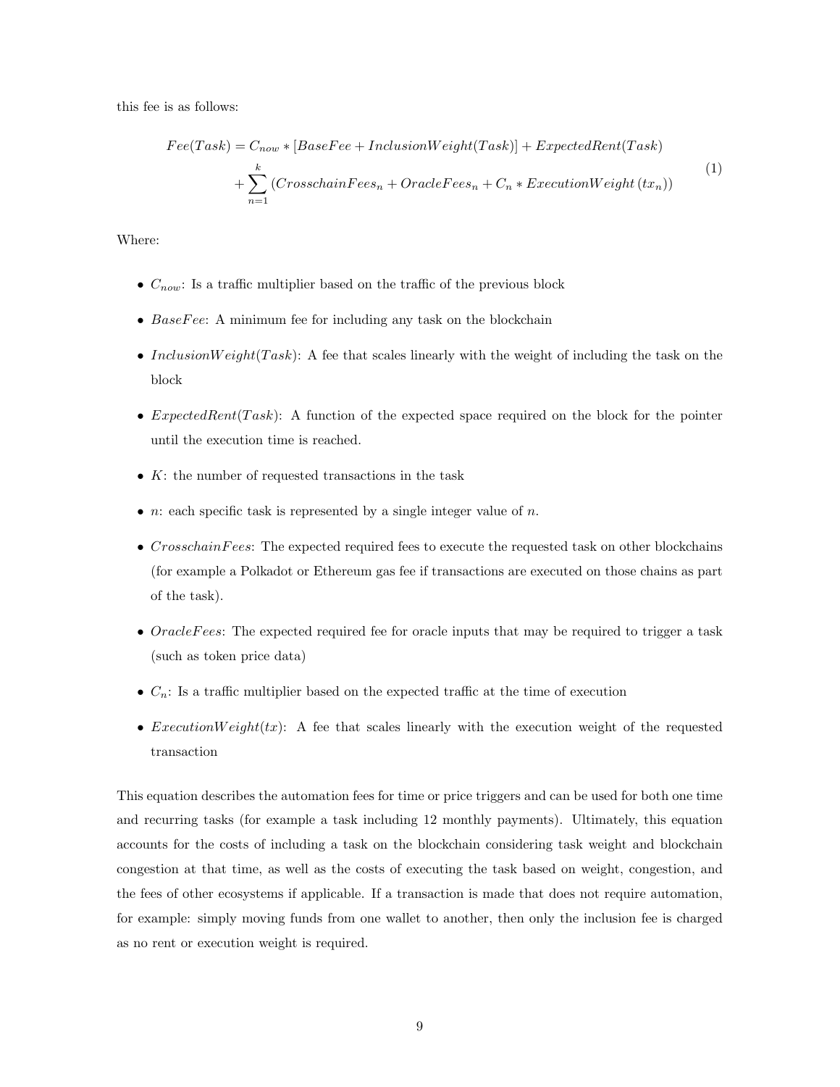this fee is as follows:

$$
Fee(Task) = C_{now} * [BaseFee + InclusionWeight(Task)] + ExpectedRent(Task)
$$

$$
+ \sum_{n=1}^{k} (CrosschainFees_n + OracleFees_n + C_n * ExecutionWeight (tx_n))
$$

$$
(1)
$$

Where:

- $C_{now}$ : Is a traffic multiplier based on the traffic of the previous block
- $BaseFree:$  A minimum fee for including any task on the blockchain
- InclusionWeight(Task): A fee that scales linearly with the weight of including the task on the block
- ExpectedRent(Task): A function of the expected space required on the block for the pointer until the execution time is reached.
- $K$ : the number of requested transactions in the task
- *n*: each specific task is represented by a single integer value of *n*.
- $\bullet$  CrosschainFees: The expected required fees to execute the requested task on other blockchains (for example a Polkadot or Ethereum gas fee if transactions are executed on those chains as part of the task).
- OracleFees: The expected required fee for oracle inputs that may be required to trigger a task (such as token price data)
- $C_n$ : Is a traffic multiplier based on the expected traffic at the time of execution
- *ExecutionWeight(tx)*: A fee that scales linearly with the execution weight of the requested transaction

This equation describes the automation fees for time or price triggers and can be used for both one time and recurring tasks (for example a task including 12 monthly payments). Ultimately, this equation accounts for the costs of including a task on the blockchain considering task weight and blockchain congestion at that time, as well as the costs of executing the task based on weight, congestion, and the fees of other ecosystems if applicable. If a transaction is made that does not require automation, for example: simply moving funds from one wallet to another, then only the inclusion fee is charged as no rent or execution weight is required.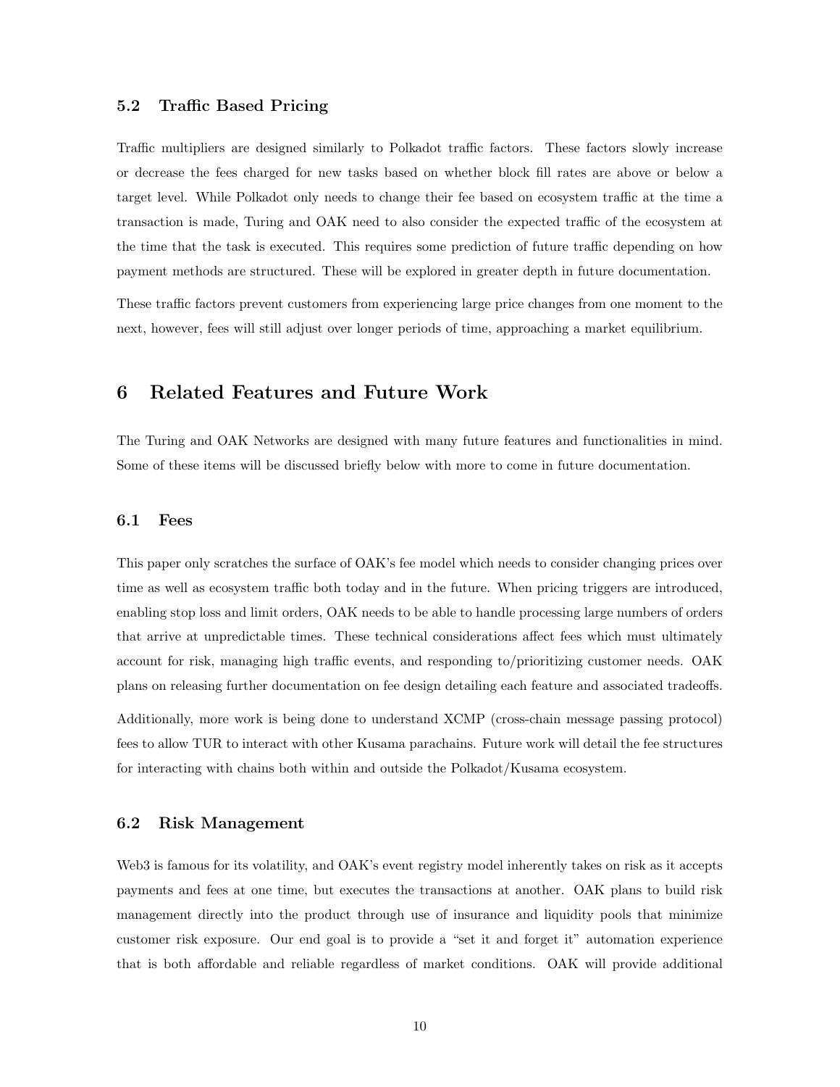#### <span id="page-9-0"></span>5.2 Traffic Based Pricing

Traffic multipliers are designed similarly to Polkadot traffic factors. These factors slowly increase or decrease the fees charged for new tasks based on whether block fill rates are above or below a target level. While Polkadot only needs to change their fee based on ecosystem traffic at the time a transaction is made, Turing and OAK need to also consider the expected traffic of the ecosystem at the time that the task is executed. This requires some prediction of future traffic depending on how payment methods are structured. These will be explored in greater depth in future documentation.

These traffic factors prevent customers from experiencing large price changes from one moment to the next, however, fees will still adjust over longer periods of time, approaching a market equilibrium.

### <span id="page-9-1"></span>6 Related Features and Future Work

The Turing and OAK Networks are designed with many future features and functionalities in mind. Some of these items will be discussed briefly below with more to come in future documentation.

#### <span id="page-9-2"></span>6.1 Fees

This paper only scratches the surface of OAK's fee model which needs to consider changing prices over time as well as ecosystem traffic both today and in the future. When pricing triggers are introduced, enabling stop loss and limit orders, OAK needs to be able to handle processing large numbers of orders that arrive at unpredictable times. These technical considerations affect fees which must ultimately account for risk, managing high traffic events, and responding to/prioritizing customer needs. OAK plans on releasing further documentation on fee design detailing each feature and associated tradeoffs.

Additionally, more work is being done to understand XCMP (cross-chain message passing protocol) fees to allow TUR to interact with other Kusama parachains. Future work will detail the fee structures for interacting with chains both within and outside the Polkadot/Kusama ecosystem.

#### <span id="page-9-3"></span>6.2 Risk Management

Web3 is famous for its volatility, and OAK's event registry model inherently takes on risk as it accepts payments and fees at one time, but executes the transactions at another. OAK plans to build risk management directly into the product through use of insurance and liquidity pools that minimize customer risk exposure. Our end goal is to provide a "set it and forget it" automation experience that is both affordable and reliable regardless of market conditions. OAK will provide additional